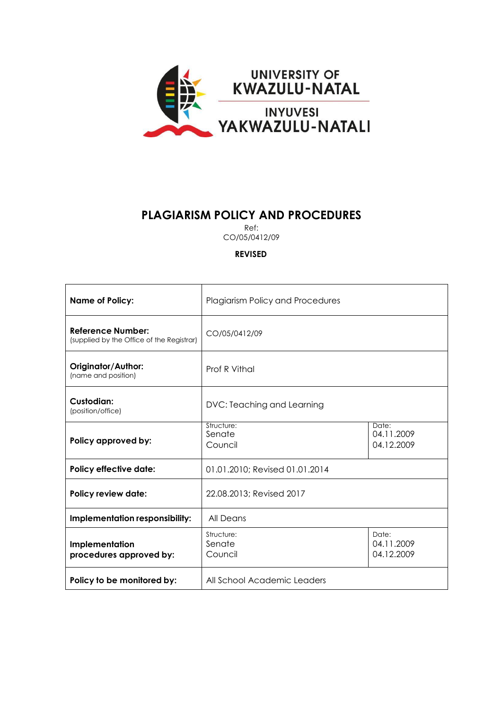

# **PLAGIARISM POLICY AND PROCEDURES**

Ref:

CO/05/0412/09

**REVISED**

| <b>Name of Policy:</b>                                         | <b>Plagiarism Policy and Procedures</b> |                                   |
|----------------------------------------------------------------|-----------------------------------------|-----------------------------------|
| Reference Number:<br>(supplied by the Office of the Registrar) | CO/05/0412/09                           |                                   |
| Originator/Author:<br>(name and position)                      | Prof R Vithal                           |                                   |
| Custodian:<br>(position/office)                                | DVC: Teaching and Learning              |                                   |
| Policy approved by:                                            | Structure:<br>Senate<br>Council         | Date:<br>04.11.2009<br>04.12.2009 |
| <b>Policy effective date:</b>                                  | 01.01.2010; Revised 01.01.2014          |                                   |
| <b>Policy review date:</b>                                     | 22.08.2013; Revised 2017                |                                   |
| Implementation responsibility:                                 | All Deans                               |                                   |
| Implementation<br>procedures approved by:                      | Structure:<br>Senate<br>Council         | Date:<br>04.11.2009<br>04.12.2009 |
| Policy to be monitored by:                                     | All School Academic Leaders             |                                   |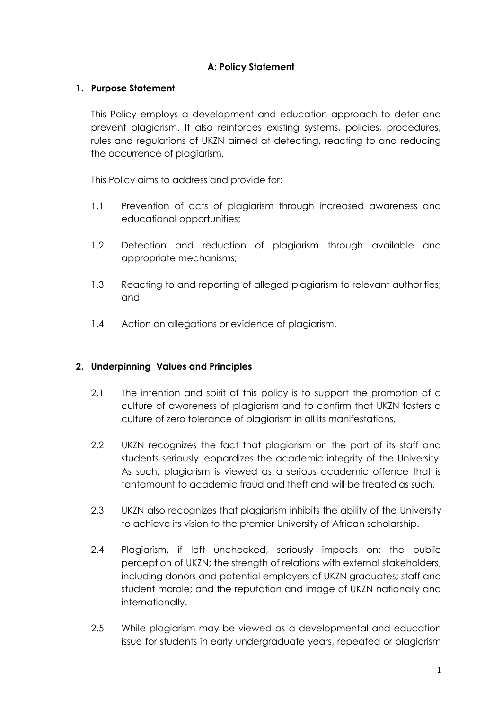## **A: Policy Statement**

### **1. Purpose Statement**

This Policy employs a development and education approach to deter and prevent plagiarism. It also reinforces existing systems, policies, procedures, rules and regulations of UKZN aimed at detecting, reacting to and reducing the occurrence of plagiarism.

This Policy aims to address and provide for:

- 1.1 Prevention of acts of plagiarism through increased awareness and educational opportunities;
- 1.2 Detection and reduction of plagiarism through available and appropriate mechanisms;
- 1.3 Reacting to and reporting of alleged plagiarism to relevant authorities; and
- 1.4 Action on allegations or evidence of plagiarism.

## **2. Underpinning Values and Principles**

- 2.1 The intention and spirit of this policy is to support the promotion of a culture of awareness of plagiarism and to confirm that UKZN fosters a culture of zero tolerance of plagiarism in all its manifestations.
- 2.2 UKZN recognizes the fact that plagiarism on the part of its staff and students seriously jeopardizes the academic integrity of the University. As such, plagiarism is viewed as a serious academic offence that is tantamount to academic fraud and theft and will be treated as such.
- 2.3 UKZN also recognizes that plagiarism inhibits the ability of the University to achieve its vision to the premier University of African scholarship.
- 2.4 Plagiarism, if left unchecked, seriously impacts on: the public perception of UKZN; the strength of relations with external stakeholders, including donors and potential employers of UKZN graduates; staff and student morale; and the reputation and image of UKZN nationally and internationally.
- 2.5 While plagiarism may be viewed as a developmental and education issue for students in early undergraduate years, repeated or plagiarism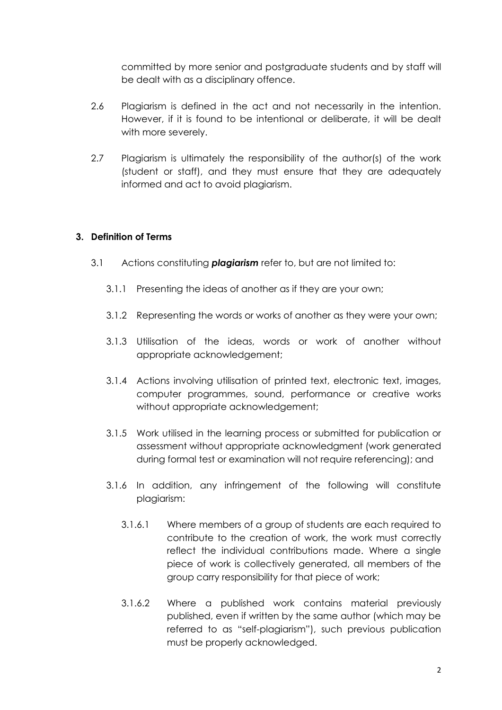committed by more senior and postgraduate students and by staff will be dealt with as a disciplinary offence.

- 2.6 Plagiarism is defined in the act and not necessarily in the intention. However, if it is found to be intentional or deliberate, it will be dealt with more severely.
- 2.7 Plagiarism is ultimately the responsibility of the author(s) of the work (student or staff), and they must ensure that they are adequately informed and act to avoid plagiarism.

## **3. Definition of Terms**

- 3.1 Actions constituting *plagiarism* refer to, but are not limited to:
	- 3.1.1 Presenting the ideas of another as if they are your own;
	- 3.1.2 Representing the words or works of another as they were your own;
	- 3.1.3 Utilisation of the ideas, words or work of another without appropriate acknowledgement;
	- 3.1.4 Actions involving utilisation of printed text, electronic text, images, computer programmes, sound, performance or creative works without appropriate acknowledgement;
	- 3.1.5 Work utilised in the learning process or submitted for publication or assessment without appropriate acknowledgment (work generated during formal test or examination will not require referencing); and
	- 3.1.6 In addition, any infringement of the following will constitute plagiarism:
		- 3.1.6.1 Where members of a group of students are each required to contribute to the creation of work, the work must correctly reflect the individual contributions made. Where a single piece of work is collectively generated, all members of the group carry responsibility for that piece of work;
		- 3.1.6.2 Where a published work contains material previously published, even if written by the same author (which may be referred to as "self-plagiarism"), such previous publication must be properly acknowledged.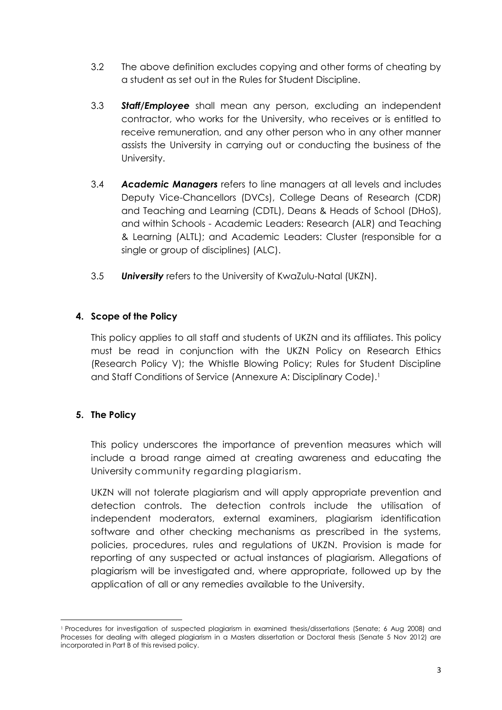- 3.2 The above definition excludes copying and other forms of cheating by a student as set out in the Rules for Student Discipline.
- 3.3 *Staff/Employee* shall mean any person, excluding an independent contractor, who works for the University, who receives or is entitled to receive remuneration, and any other person who in any other manner assists the University in carrying out or conducting the business of the University.
- 3.4 *Academic Managers* refers to line managers at all levels and includes Deputy Vice-Chancellors (DVCs), College Deans of Research (CDR) and Teaching and Learning (CDTL), Deans & Heads of School (DHoS), and within Schools - Academic Leaders: Research (ALR) and Teaching & Learning (ALTL); and Academic Leaders: Cluster (responsible for a single or group of disciplines) (ALC).
- 3.5 *University* refers to the University of KwaZulu-Natal (UKZN).

## **4. Scope of the Policy**

This policy applies to all staff and students of UKZN and its affiliates. This policy must be read in conjunction with the UKZN Policy on Research Ethics (Research Policy V); the Whistle Blowing Policy; Rules for Student Discipline and Staff Conditions of Service (Annexure A: Disciplinary Code).<sup>1</sup>

## **5. The Policy**

**.** 

This policy underscores the importance of prevention measures which will include a broad range aimed at creating awareness and educating the University community regarding plagiarism.

UKZN will not tolerate plagiarism and will apply appropriate prevention and detection controls. The detection controls include the utilisation of independent moderators, external examiners, plagiarism identification software and other checking mechanisms as prescribed in the systems, policies, procedures, rules and regulations of UKZN. Provision is made for reporting of any suspected or actual instances of plagiarism. Allegations of plagiarism will be investigated and, where appropriate, followed up by the application of all or any remedies available to the University.

<sup>1</sup> Procedures for investigation of suspected plagiarism in examined thesis/dissertations (Senate; 6 Aug 2008) and Processes for dealing with alleged plagiarism in a Masters dissertation or Doctoral thesis (Senate 5 Nov 2012) are incorporated in Part B of this revised policy.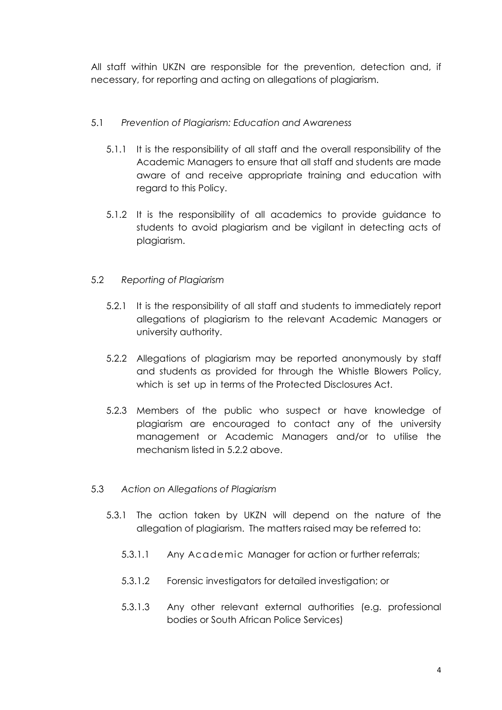All staff within UKZN are responsible for the prevention, detection and, if necessary, for reporting and acting on allegations of plagiarism.

### 5.1 *Prevention of Plagiarism: Education and Awareness*

- 5.1.1 It is the responsibility of all staff and the overall responsibility of the Academic Managers to ensure that all staff and students are made aware of and receive appropriate training and education with regard to this Policy.
- 5.1.2 It is the responsibility of all academics to provide guidance to students to avoid plagiarism and be vigilant in detecting acts of plagiarism.

### 5.2 *Reporting of Plagiarism*

- 5.2.1 It is the responsibility of all staff and students to immediately report allegations of plagiarism to the relevant Academic Managers or university authority.
- 5.2.2 Allegations of plagiarism may be reported anonymously by staff and students as provided for through the Whistle Blowers Policy, which is set up in terms of the Protected Disclosures Act.
- 5.2.3 Members of the public who suspect or have knowledge of plagiarism are encouraged to contact any of the university management or Academic Managers and/or to utilise the mechanism listed in 5.2.2 above.
- 5.3 *Action on Allegations of Plagiarism*
	- 5.3.1 The action taken by UKZN will depend on the nature of the allegation of plagiarism. The matters raised may be referred to:
		- 5.3.1.1 Any Academic Manager for action or further referrals;
		- 5.3.1.2 Forensic investigators for detailed investigation; or
		- 5.3.1.3 Any other relevant external authorities (e.g. professional bodies or South African Police Services)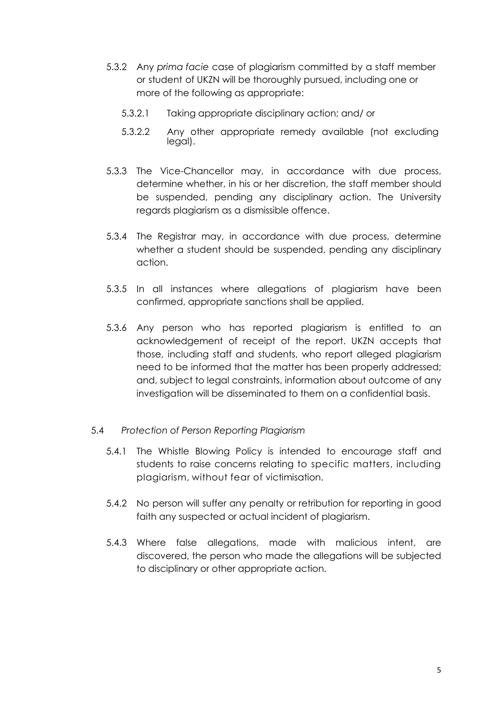- 5.3.2 Any *prima facie* case of plagiarism committed by a staff member or student of UKZN will be thoroughly pursued, including one or more of the following as appropriate:
	- 5.3.2.1 Taking appropriate disciplinary action; and/ or
	- 5.3.2.2 Any other appropriate remedy available (not excluding legal).
- 5.3.3 The Vice-Chancellor may, in accordance with due process, determine whether, in his or her discretion, the staff member should be suspended, pending any disciplinary action. The University regards plagiarism as a dismissible offence.
- 5.3.4 The Registrar may, in accordance with due process, determine whether a student should be suspended, pending any disciplinary action.
- 5.3.5 In all instances where allegations of plagiarism have been confirmed, appropriate sanctions shall be applied.
- 5.3.6 Any person who has reported plagiarism is entitled to an acknowledgement of receipt of the report. UKZN accepts that those, including staff and students, who report alleged plagiarism need to be informed that the matter has been properly addressed; and, subject to legal constraints, information about outcome of any investigation will be disseminated to them on a confidential basis.

#### 5.4 *Protection of Person Reporting Plagiarism*

- 5.4.1 The Whistle Blowing Policy is intended to encourage staff and students to raise concerns relating to specific matters, including plagiarism, without fear of victimisation.
- 5.4.2 No person will suffer any penalty or retribution for reporting in good faith any suspected or actual incident of plagiarism.
- 5.4.3 Where false allegations, made with malicious intent, are discovered, the person who made the allegations will be subjected to disciplinary or other appropriate action.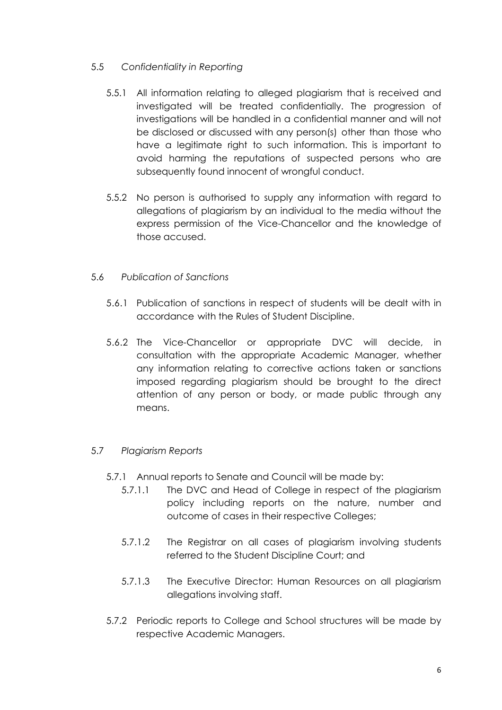## 5.5 *Confidentiality in Reporting*

- 5.5.1 All information relating to alleged plagiarism that is received and investigated will be treated confidentially. The progression of investigations will be handled in a confidential manner and will not be disclosed or discussed with any person(s) other than those who have a legitimate right to such information. This is important to avoid harming the reputations of suspected persons who are subsequently found innocent of wrongful conduct.
- 5.5.2 No person is authorised to supply any information with regard to allegations of plagiarism by an individual to the media without the express permission of the Vice-Chancellor and the knowledge of those accused.

## 5.6 *Publication of Sanctions*

- 5.6.1 Publication of sanctions in respect of students will be dealt with in accordance with the Rules of Student Discipline.
- 5.6.2 The Vice-Chancellor or appropriate DVC will decide, in consultation with the appropriate Academic Manager, whether any information relating to corrective actions taken or sanctions imposed regarding plagiarism should be brought to the direct attention of any person or body, or made public through any means.

## 5.7 *Plagiarism Reports*

- 5.7.1 Annual reports to Senate and Council will be made by:
	- 5.7.1.1 The DVC and Head of College in respect of the plagiarism policy including reports on the nature, number and outcome of cases in their respective Colleges;
	- 5.7.1.2 The Registrar on all cases of plagiarism involving students referred to the Student Discipline Court; and
	- 5.7.1.3 The Executive Director: Human Resources on all plagiarism allegations involving staff.
- 5.7.2 Periodic reports to College and School structures will be made by respective Academic Managers.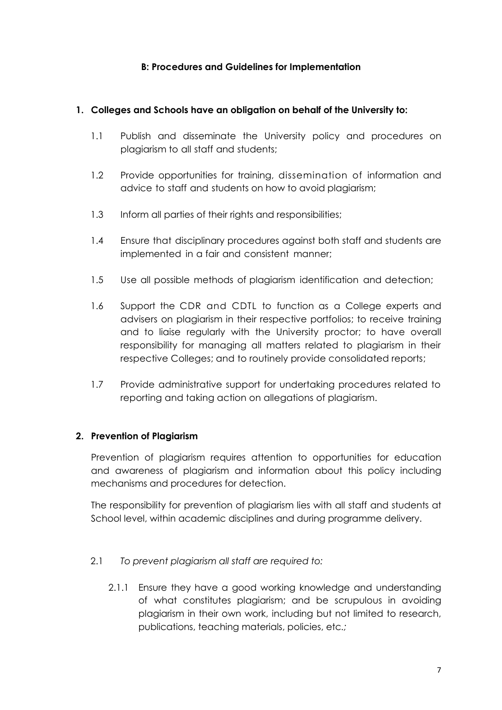### **B: Procedures and Guidelines for Implementation**

#### **1. Colleges and Schools have an obligation on behalf of the University to:**

- 1.1 Publish and disseminate the University policy and procedures on plagiarism to all staff and students;
- 1.2 Provide opportunities for training, dissemination of information and advice to staff and students on how to avoid plagiarism;
- 1.3 Inform all parties of their rights and responsibilities;
- 1.4 Ensure that disciplinary procedures against both staff and students are implemented in a fair and consistent manner;
- 1.5 Use all possible methods of plagiarism identification and detection;
- 1.6 Support the CDR and CDTL to function as a College experts and advisers on plagiarism in their respective portfolios; to receive training and to liaise regularly with the University proctor; to have overall responsibility for managing all matters related to plagiarism in their respective Colleges; and to routinely provide consolidated reports;
- 1.7 Provide administrative support for undertaking procedures related to reporting and taking action on allegations of plagiarism.

#### **2. Prevention of Plagiarism**

Prevention of plagiarism requires attention to opportunities for education and awareness of plagiarism and information about this policy including mechanisms and procedures for detection.

The responsibility for prevention of plagiarism lies with all staff and students at School level, within academic disciplines and during programme delivery.

#### 2.1 *To prevent plagiarism all staff are required to:*

2.1.1 Ensure they have a good working knowledge and understanding of what constitutes plagiarism; and be scrupulous in avoiding plagiarism in their own work, including but not limited to research, publications, teaching materials, policies, etc*.;*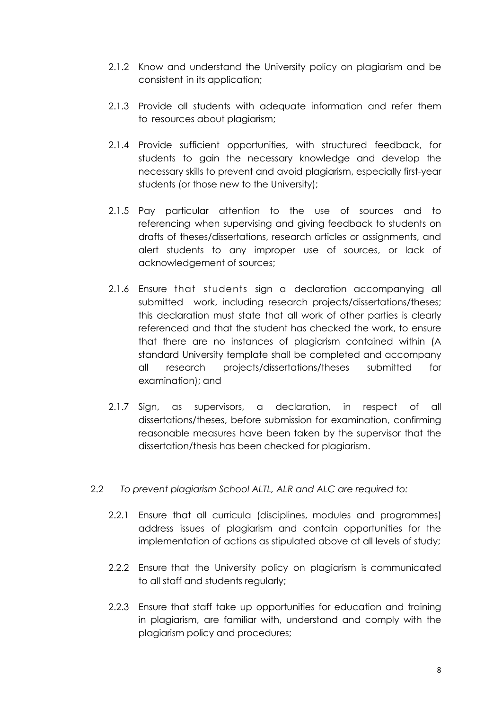- 2.1.2 Know and understand the University policy on plagiarism and be consistent in its application;
- 2.1.3 Provide all students with adequate information and refer them to resources about plagiarism;
- 2.1.4 Provide sufficient opportunities, with structured feedback, for students to gain the necessary knowledge and develop the necessary skills to prevent and avoid plagiarism, especially first-year students (or those new to the University);
- 2.1.5 Pay particular attention to the use of sources and to referencing when supervising and giving feedback to students on drafts of theses/dissertations, research articles or assignments, and alert students to any improper use of sources, or lack of acknowledgement of sources;
- 2.1.6 Ensure that students sign a declaration accompanying all submitted work, including research projects/dissertations/theses; this declaration must state that all work of other parties is clearly referenced and that the student has checked the work, to ensure that there are no instances of plagiarism contained within (A standard University template shall be completed and accompany all research projects/dissertations/theses submitted for examination); and
- 2.1.7 Sign, as supervisors, a declaration, in respect of all dissertations/theses, before submission for examination, confirming reasonable measures have been taken by the supervisor that the dissertation/thesis has been checked for plagiarism.
- 2.2 *To prevent plagiarism School ALTL, ALR and ALC are required to:*
	- 2.2.1 Ensure that all curricula (disciplines, modules and programmes) address issues of plagiarism and contain opportunities for the implementation of actions as stipulated above at all levels of study;
	- 2.2.2 Ensure that the University policy on plagiarism is communicated to all staff and students regularly;
	- 2.2.3 Ensure that staff take up opportunities for education and training in plagiarism, are familiar with, understand and comply with the plagiarism policy and procedures;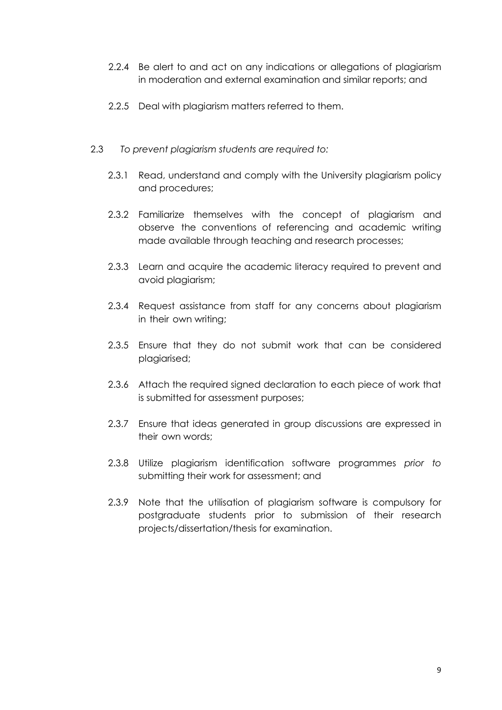- 2.2.4 Be alert to and act on any indications or allegations of plagiarism in moderation and external examination and similar reports; and
- 2.2.5 Deal with plagiarism matters referred to them.
- 2.3 *To prevent plagiarism students are required to:*
	- 2.3.1 Read, understand and comply with the University plagiarism policy and procedures;
	- 2.3.2 Familiarize themselves with the concept of plagiarism and observe the conventions of referencing and academic writing made available through teaching and research processes;
	- 2.3.3 Learn and acquire the academic literacy required to prevent and avoid plagiarism;
	- 2.3.4 Request assistance from staff for any concerns about plagiarism in their own writing;
	- 2.3.5 Ensure that they do not submit work that can be considered plagiarised;
	- 2.3.6 Attach the required signed declaration to each piece of work that is submitted for assessment purposes;
	- 2.3.7 Ensure that ideas generated in group discussions are expressed in their own words;
	- 2.3.8 Utilize plagiarism identification software programmes *prior to* submitting their work for assessment; and
	- 2.3.9 Note that the utilisation of plagiarism software is compulsory for postgraduate students prior to submission of their research projects/dissertation/thesis for examination.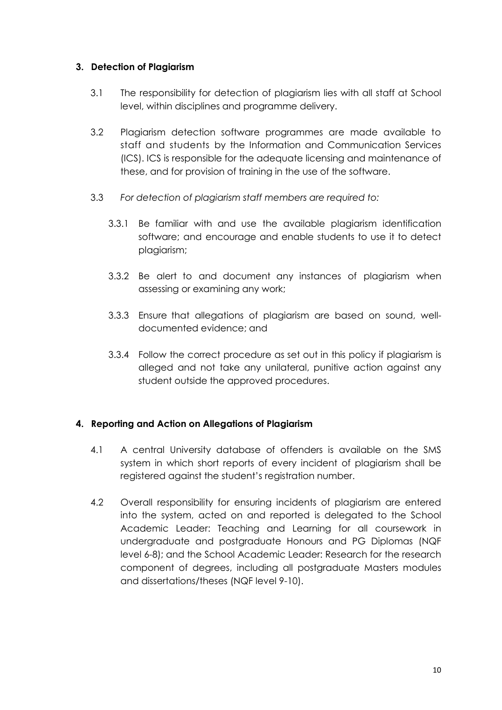### **3. Detection of Plagiarism**

- 3.1 The responsibility for detection of plagiarism lies with all staff at School level, within disciplines and programme delivery.
- 3.2 Plagiarism detection software programmes are made available to staff and students by the Information and Communication Services (ICS). ICS is responsible for the adequate licensing and maintenance of these, and for provision of training in the use of the software.
- 3.3 *For detection of plagiarism staff members are required to:*
	- 3.3.1 Be familiar with and use the available plagiarism identification software; and encourage and enable students to use it to detect plagiarism;
	- 3.3.2 Be alert to and document any instances of plagiarism when assessing or examining any work;
	- 3.3.3 Ensure that allegations of plagiarism are based on sound, welldocumented evidence; and
	- 3.3.4 Follow the correct procedure as set out in this policy if plagiarism is alleged and not take any unilateral, punitive action against any student outside the approved procedures.

## **4. Reporting and Action on Allegations of Plagiarism**

- 4.1 A central University database of offenders is available on the SMS system in which short reports of every incident of plagiarism shall be registered against the student's registration number.
- 4.2 Overall responsibility for ensuring incidents of plagiarism are entered into the system, acted on and reported is delegated to the School Academic Leader: Teaching and Learning for all coursework in undergraduate and postgraduate Honours and PG Diplomas (NQF level 6-8); and the School Academic Leader: Research for the research component of degrees, including all postgraduate Masters modules and dissertations/theses (NQF level 9-10).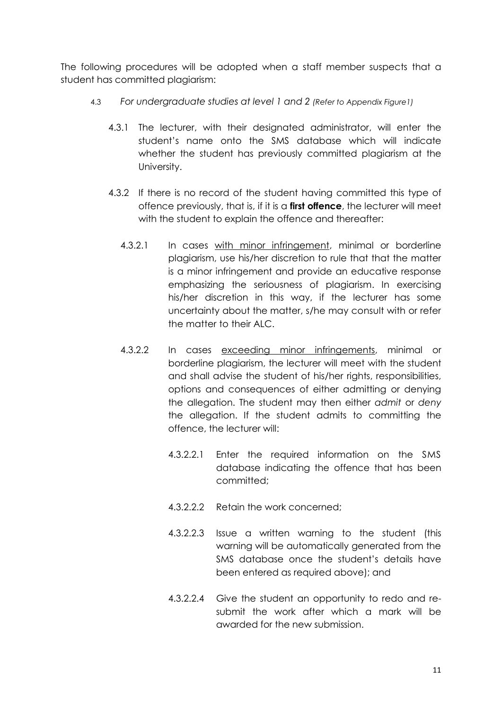The following procedures will be adopted when a staff member suspects that a student has committed plagiarism:

- 4.3 *For undergraduate studies at level 1 and 2 (Refer to Appendix Figure1)*
	- 4.3.1 The lecturer, with their designated administrator, will enter the student's name onto the SMS database which will indicate whether the student has previously committed plagiarism at the University.
	- 4.3.2 If there is no record of the student having committed this type of offence previously, that is, if it is a **first offence**, the lecturer will meet with the student to explain the offence and thereafter:
		- 4.3.2.1 In cases with minor infringement, minimal or borderline plagiarism, use his/her discretion to rule that that the matter is a minor infringement and provide an educative response emphasizing the seriousness of plagiarism. In exercising his/her discretion in this way, if the lecturer has some uncertainty about the matter, s/he may consult with or refer the matter to their ALC.
		- 4.3.2.2 In cases exceeding minor infringements, minimal or borderline plagiarism, the lecturer will meet with the student and shall advise the student of his/her rights, responsibilities, options and consequences of either admitting or denying the allegation. The student may then either *admit* or *deny*  the allegation. If the student admits to committing the offence, the lecturer will:
			- 4.3.2.2.1 Enter the required information on the SMS database indicating the offence that has been committed;
			- 4.3.2.2.2 Retain the work concerned;
			- 4.3.2.2.3 Issue a written warning to the student (this warning will be automatically generated from the SMS database once the student's details have been entered as required above); and
			- 4.3.2.2.4 Give the student an opportunity to redo and resubmit the work after which a mark will be awarded for the new submission.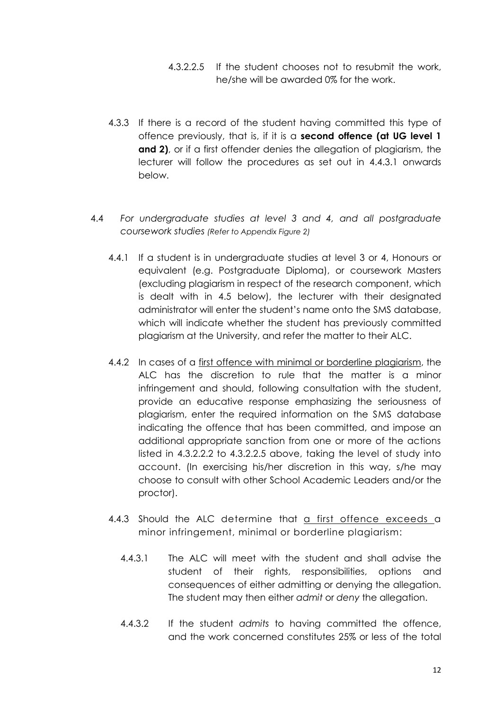- 4.3.2.2.5 If the student chooses not to resubmit the work, he/she will be awarded 0% for the work.
- 4.3.3 If there is a record of the student having committed this type of offence previously, that is, if it is a **second offence (at UG level 1**  and 2), or if a first offender denies the allegation of plagiarism, the lecturer will follow the procedures as set out in 4.4.3.1 onwards below.
- 4.4 *For undergraduate studies at level 3 and 4, and all postgraduate coursework studies (Refer to Appendix Figure 2)*
	- 4.4.1 If a student is in undergraduate studies at level 3 or 4, Honours or equivalent (e.g. Postgraduate Diploma), or coursework Masters (excluding plagiarism in respect of the research component, which is dealt with in 4.5 below), the lecturer with their designated administrator will enter the student's name onto the SMS database, which will indicate whether the student has previously committed plagiarism at the University, and refer the matter to their ALC.
	- 4.4.2 In cases of a first offence with minimal or borderline plagiarism, the ALC has the discretion to rule that the matter is a minor infringement and should, following consultation with the student, provide an educative response emphasizing the seriousness of plagiarism, enter the required information on the SMS database indicating the offence that has been committed, and impose an additional appropriate sanction from one or more of the actions listed in 4.3.2.2.2 to 4.3.2.2.5 above, taking the level of study into account. (In exercising his/her discretion in this way, s/he may choose to consult with other School Academic Leaders and/or the proctor).
	- 4.4.3 Should the ALC determine that a first offence exceeds a minor infringement, minimal or borderline plagiarism:
		- 4.4.3.1 The ALC will meet with the student and shall advise the student of their rights, responsibilities, options and consequences of either admitting or denying the allegation. The student may then either *admit* or *deny* the allegation.
		- 4.4.3.2 If the student *admits* to having committed the offence, and the work concerned constitutes 25% or less of the total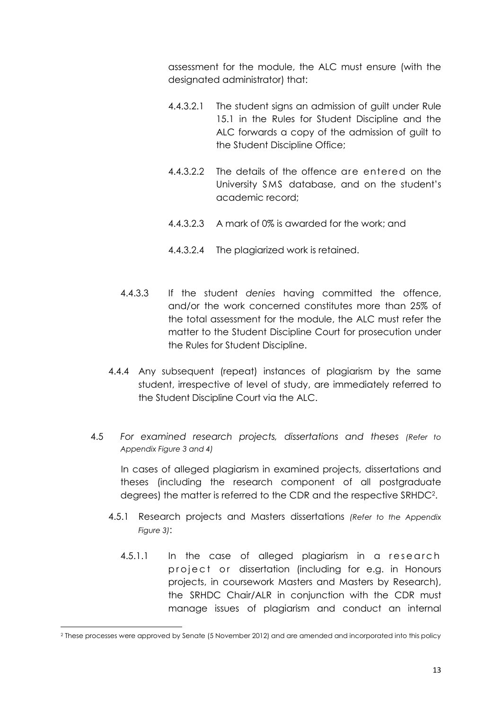assessment for the module, the ALC must ensure (with the designated administrator) that:

- 4.4.3.2.1 The student signs an admission of guilt under Rule 15.1 in the Rules for Student Discipline and the ALC forwards a copy of the admission of guilt to the Student Discipline Office;
- 4.4.3.2.2 The details of the offence are entered on the University SMS database, and on the student's academic record;
- 4.4.3.2.3 A mark of 0% is awarded for the work; and
- 4.4.3.2.4 The plagiarized work is retained.
- 4.4.3.3 If the student *denies* having committed the offence, and/or the work concerned constitutes more than 25% of the total assessment for the module, the ALC must refer the matter to the Student Discipline Court for prosecution under the Rules for Student Discipline.
- 4.4.4 Any subsequent (repeat) instances of plagiarism by the same student, irrespective of level of study, are immediately referred to the Student Discipline Court via the ALC.
- 4.5 *For examined research projects, dissertations and theses (Refer to Appendix Figure 3 and 4)*

In cases of alleged plagiarism in examined projects, dissertations and theses (including the research component of all postgraduate degrees) the matter is referred to the CDR and the respective SRHDC<sup>2</sup> .

- 4.5.1 Research projects and Masters dissertations *(Refer to the Appendix Figure 3)*:
	- 4.5.1.1 In the case of alleged plagiarism in a research project or dissertation (including for e.g. in Honours projects, in coursework Masters and Masters by Research), the SRHDC Chair/ALR in conjunction with the CDR must manage issues of plagiarism and conduct an internal

**.** 

<sup>2</sup> These processes were approved by Senate (5 November 2012) and are amended and incorporated into this policy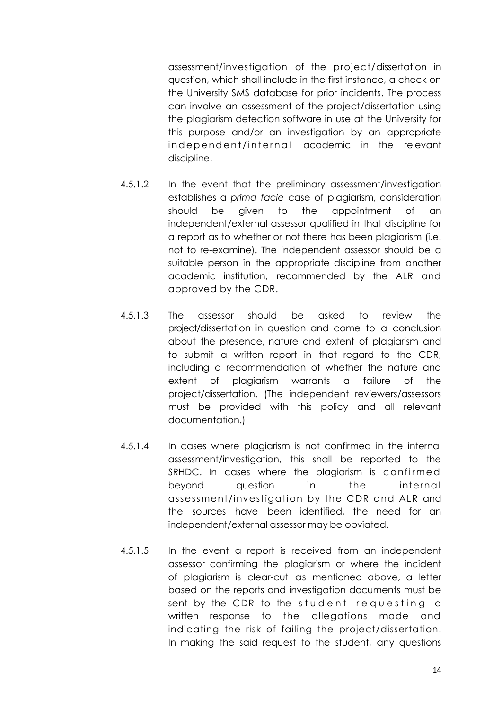assessment/investigation of the project/dissertation in question, which shall include in the first instance, a check on the University SMS database for prior incidents. The process can involve an assessment of the project/dissertation using the plagiarism detection software in use at the University for this purpose and/or an investigation by an appropriate independent/internal academic in the relevant discipline.

- 4.5.1.2 In the event that the preliminary assessment/investigation establishes a *prima facie* case of plagiarism, consideration should be given to the appointment of an independent/external assessor qualified in that discipline for a report as to whether or not there has been plagiarism (i.e. not to re-examine). The independent assessor should be a suitable person in the appropriate discipline from another academic institution, recommended by the ALR and approved by the CDR.
- 4.5.1.3 The assessor should be asked to review the project/dissertation in question and come to a conclusion about the presence, nature and extent of plagiarism and to submit a written report in that regard to the CDR, including a recommendation of whether the nature and extent of plagiarism warrants a failure of the project/dissertation. (The independent reviewers/assessors must be provided with this policy and all relevant documentation.)
- 4.5.1.4 In cases where plagiarism is not confirmed in the internal assessment/investigation, this shall be reported to the SRHDC. In cases where the plagiarism is confirmed beyond question in the internal assessment/investigation by the CDR and ALR and the sources have been identified, the need for an independent/external assessor may be obviated.
- 4.5.1.5 In the event a report is received from an independent assessor confirming the plagiarism or where the incident of plagiarism is clear-cut as mentioned above, a letter based on the reports and investigation documents must be sent by the CDR to the student requesting a written response to the allegations made and indicating the risk of failing the project/dissertation. In making the said request to the student, any questions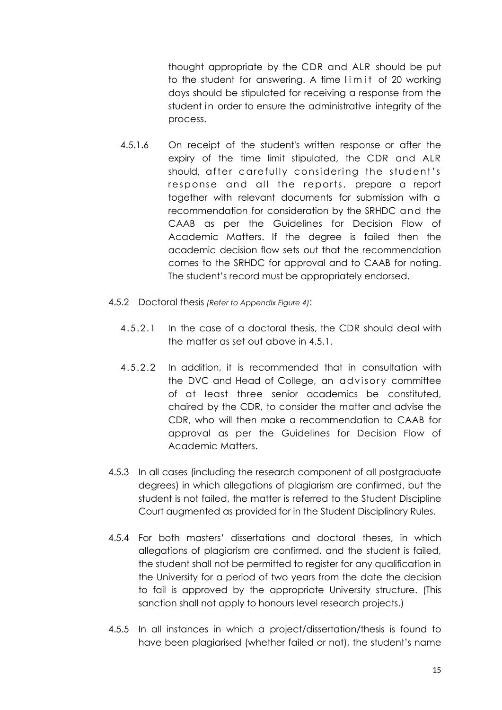thought appropriate by the CDR and ALR should be put to the student for answering. A time limit of 20 working days should be stipulated for receiving a response from the student in order to ensure the administrative integrity of the process.

- 4.5.1.6 On receipt of the student's written response or after the expiry of the time limit stipulated, the CDR and ALR should, after carefully considering the student's response and all the reports, prepare a report together with relevant documents for submission with a recommendation for consideration by the SRHDC and the CAAB as per the Guidelines for Decision Flow of Academic Matters. If the degree is failed then the academic decision flow sets out that the recommendation comes to the SRHDC for approval and to CAAB for noting. The student's record must be appropriately endorsed.
- 4.5.2 Doctoral thesis *(Refer to Appendix Figure 4)*:
	- 4.5.2.1 In the case of a doctoral thesis, the CDR should deal with the matter as set out above in 4.5.1.
	- 4.5.2.2 In addition, it is recommended that in consultation with the DVC and Head of College, an advisory committee of at least three senior academics be constituted, chaired by the CDR, to consider the matter and advise the CDR, who will then make a recommendation to CAAB for approval as per the Guidelines for Decision Flow of Academic Matters.
- 4.5.3 In all cases (including the research component of all postgraduate degrees) in which allegations of plagiarism are confirmed, but the student is not failed, the matter is referred to the Student Discipline Court augmented as provided for in the Student Disciplinary Rules.
- 4.5.4 For both masters' dissertations and doctoral theses, in which allegations of plagiarism are confirmed, and the student is failed, the student shall not be permitted to register for any qualification in the University for a period of two years from the date the decision to fail is approved by the appropriate University structure. (This sanction shall not apply to honours level research projects.)
- 4.5.5 In all instances in which a project/dissertation/thesis is found to have been plagiarised (whether failed or not), the student's name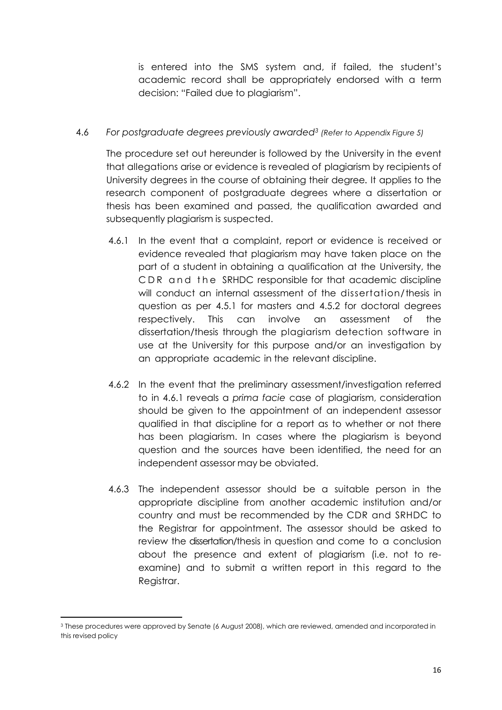is entered into the SMS system and, if failed, the student's academic record shall be appropriately endorsed with a term decision: "Failed due to plagiarism".

### 4.6 *For postgraduate degrees previously awarded<sup>3</sup> (Refer to Appendix Figure 5)*

The procedure set out hereunder is followed by the University in the event that allegations arise or evidence is revealed of plagiarism by recipients of University degrees in the course of obtaining their degree. It applies to the research component of postgraduate degrees where a dissertation or thesis has been examined and passed, the qualification awarded and subsequently plagiarism is suspected.

- 4.6.1 In the event that a complaint, report or evidence is received or evidence revealed that plagiarism may have taken place on the part of a student in obtaining a qualification at the University, the CDR and the SRHDC responsible for that academic discipline will conduct an internal assessment of the dissertation/thesis in question as per 4.5.1 for masters and 4.5.2 for doctoral degrees respectively. This can involve an assessment of the dissertation/thesis through the plagiarism detection software in use at the University for this purpose and/or an investigation by an appropriate academic in the relevant discipline.
- 4.6.2 In the event that the preliminary assessment/investigation referred to in 4.6.1 reveals a *prima facie* case of plagiarism, consideration should be given to the appointment of an independent assessor qualified in that discipline for a report as to whether or not there has been plagiarism. In cases where the plagiarism is beyond question and the sources have been identified, the need for an independent assessor may be obviated.
- 4.6.3 The independent assessor should be a suitable person in the appropriate discipline from another academic institution and/or country and must be recommended by the CDR and SRHDC to the Registrar for appointment. The assessor should be asked to review the dissertation/thesis in question and come to a conclusion about the presence and extent of plagiarism (i.e. not to reexamine) and to submit a written report in this regard to the Registrar.

**<sup>.</sup>** <sup>3</sup> These procedures were approved by Senate (6 August 2008), which are reviewed, amended and incorporated in this revised policy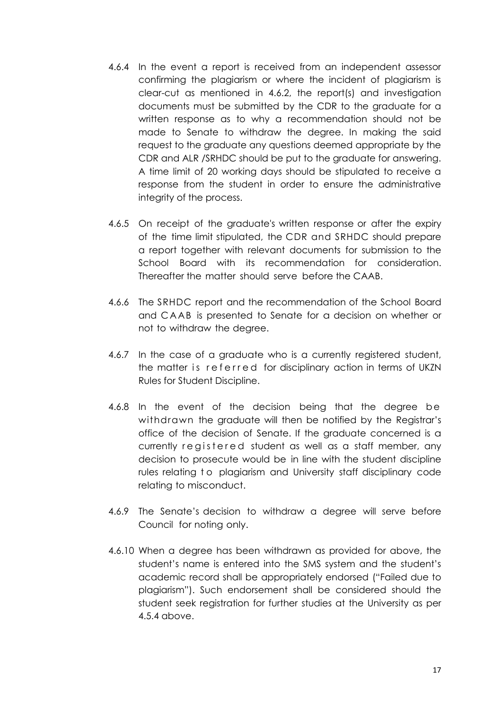- 4.6.4 In the event a report is received from an independent assessor confirming the plagiarism or where the incident of plagiarism is clear-cut as mentioned in 4.6.2, the report(s) and investigation documents must be submitted by the CDR to the graduate for a written response as to why a recommendation should not be made to Senate to withdraw the degree. In making the said request to the graduate any questions deemed appropriate by the CDR and ALR /SRHDC should be put to the graduate for answering. A time limit of 20 working days should be stipulated to receive a response from the student in order to ensure the administrative integrity of the process.
- 4.6.5 On receipt of the graduate's written response or after the expiry of the time limit stipulated, the CDR and SRHDC should prepare a report together with relevant documents for submission to the School Board with its recommendation for consideration. Thereafter the matter should serve before the CAAB.
- 4.6.6 The SRHDC report and the recommendation of the School Board and C AAB is presented to Senate for a decision on whether or not to withdraw the degree.
- 4.6.7 In the case of a graduate who is a currently registered student, the matter is referred for disciplinary action in terms of UKZN Rules for Student Discipline.
- 4.6.8 In the event of the decision being that the degree be withdrawn the graduate will then be notified by the Registrar's office of the decision of Senate. If the graduate concerned is a currently registered student as well as a staff member, any decision to prosecute would be in line with the student discipline rules relating to plagiarism and University staff disciplinary code relating to misconduct.
- 4.6.9 The Senate's decision to withdraw a degree will serve before Council for noting only.
- 4.6.10 When a degree has been withdrawn as provided for above, the student's name is entered into the SMS system and the student's academic record shall be appropriately endorsed ("Failed due to plagiarism"). Such endorsement shall be considered should the student seek registration for further studies at the University as per 4.5.4 above.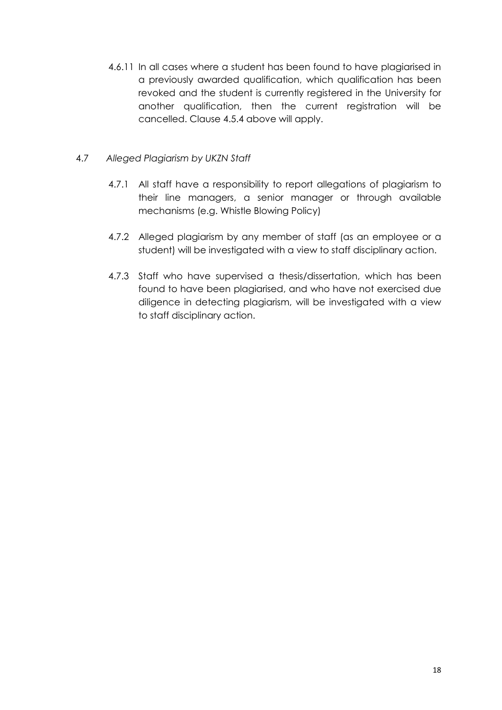4.6.11 In all cases where a student has been found to have plagiarised in a previously awarded qualification, which qualification has been revoked and the student is currently registered in the University for another qualification, then the current registration will be cancelled. Clause 4.5.4 above will apply.

### 4.7 *Alleged Plagiarism by UKZN Staff*

- 4.7.1 All staff have a responsibility to report allegations of plagiarism to their line managers, a senior manager or through available mechanisms (e.g. Whistle Blowing Policy)
- 4.7.2 Alleged plagiarism by any member of staff (as an employee or a student) will be investigated with a view to staff disciplinary action.
- 4.7.3 Staff who have supervised a thesis/dissertation, which has been found to have been plagiarised, and who have not exercised due diligence in detecting plagiarism, will be investigated with a view to staff disciplinary action.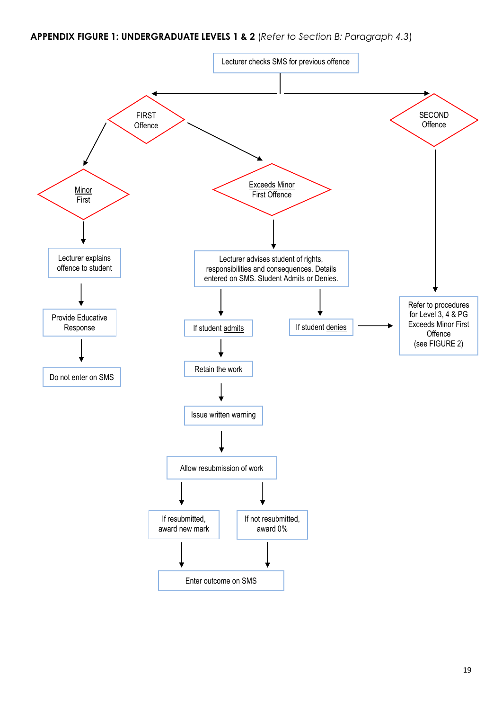#### **APPENDIX FIGURE 1: UNDERGRADUATE LEVELS 1 & 2** (*Refer to Section B; Paragraph 4.3*)

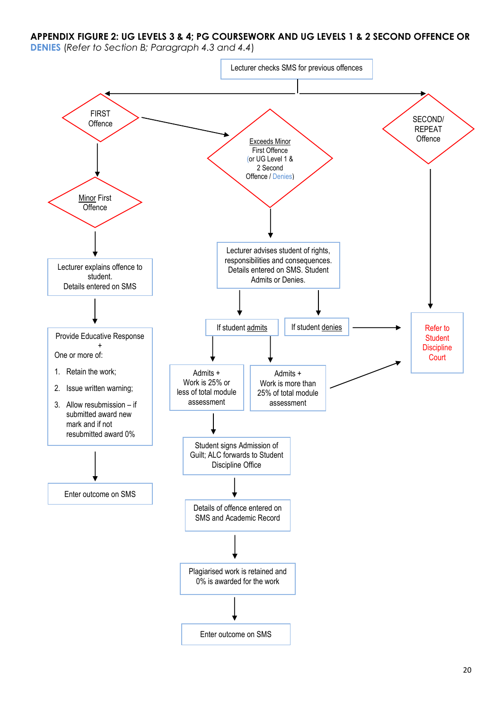**APPENDIX FIGURE 2: UG LEVELS 3 & 4; PG COURSEWORK AND UG LEVELS 1 & 2 SECOND OFFENCE OR** 

**DENIES** (*Refer to Section B; Paragraph 4.3 and 4.4*)

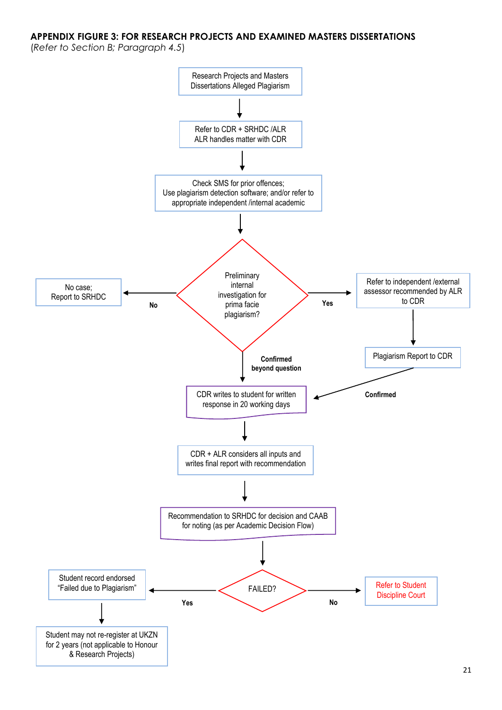#### **APPENDIX FIGURE 3: FOR RESEARCH PROJECTS AND EXAMINED MASTERS DISSERTATIONS**

(*Refer to Section B; Paragraph 4.5*)

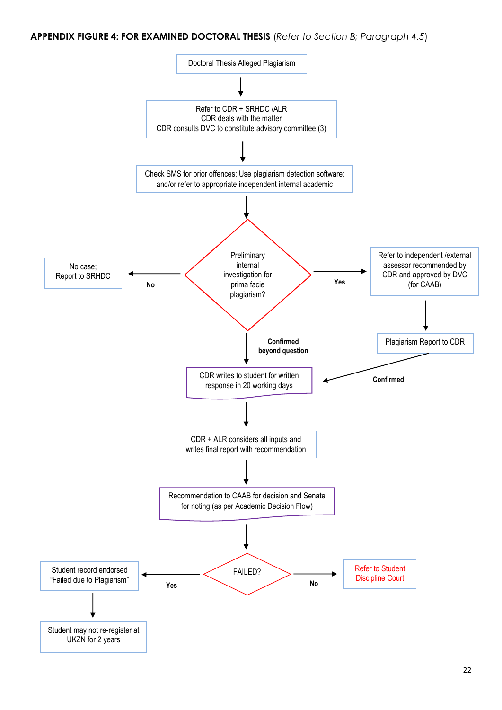**APPENDIX FIGURE 4: FOR EXAMINED DOCTORAL THESIS** (*Refer to Section B; Paragraph 4.5*)